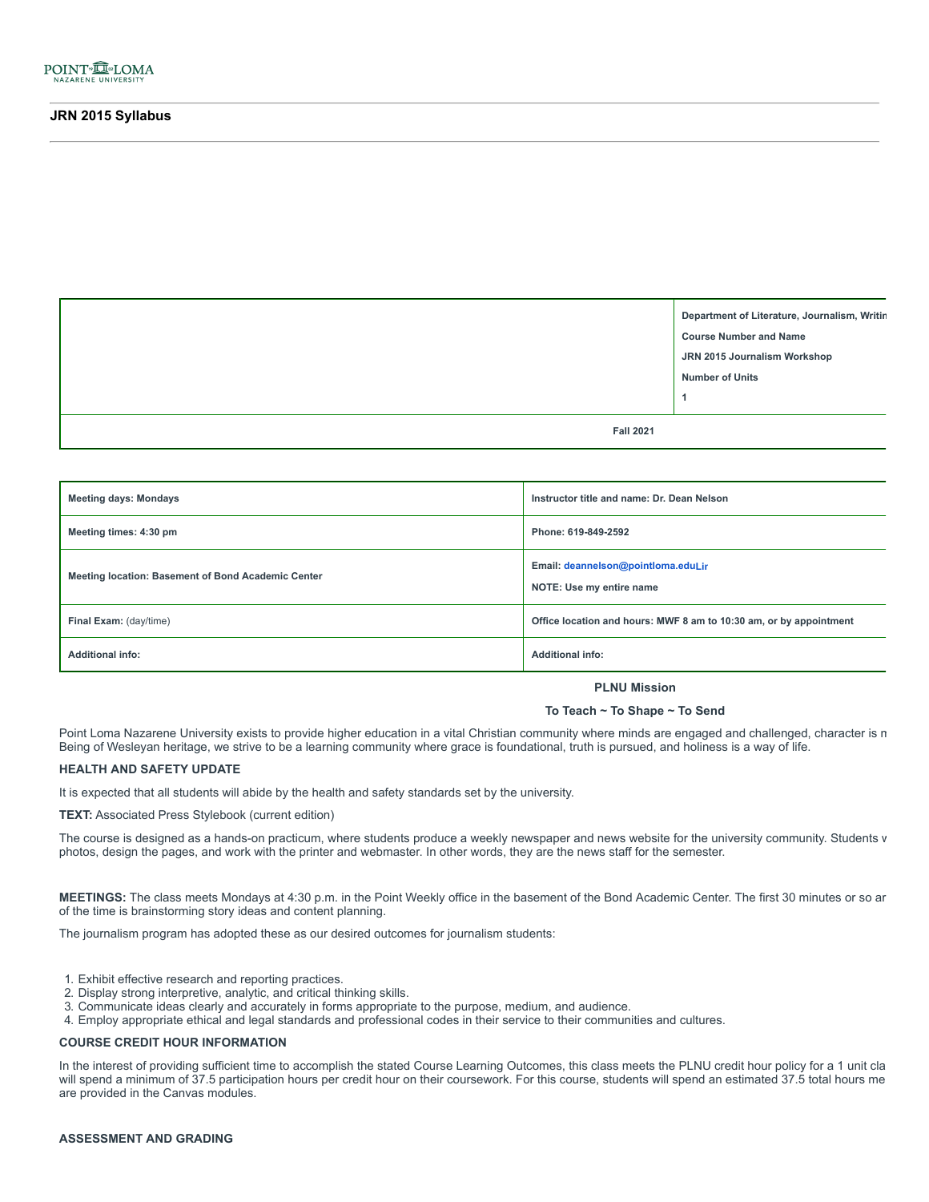

**Department of Literature, Journalism, Writin Course Number and Name JRN 2015 Journalism Workshop Number of Units 1**

**Fall 2021**

| <b>Meeting days: Mondays</b>                       | Instructor title and name: Dr. Dean Nelson                         |
|----------------------------------------------------|--------------------------------------------------------------------|
| Meeting times: 4:30 pm                             | Phone: 619-849-2592                                                |
| Meeting location: Basement of Bond Academic Center | Email: deannelson@pointloma.eduLir<br>NOTE: Use my entire name     |
| Final Exam: (day/time)                             | Office location and hours: MWF 8 am to 10:30 am, or by appointment |
| <b>Additional info:</b>                            | <b>Additional info:</b>                                            |

**PLNU Mission**

#### **To Teach ~ To Shape ~ To Send**

Point Loma Nazarene University exists to provide higher education in a vital Christian community where minds are engaged and challenged, character is m Being of Wesleyan heritage, we strive to be a learning community where grace is foundational, truth is pursued, and holiness is a way of life.

### **HEALTH AND SAFETY UPDATE**

It is expected that all students will abide by the health and safety standards set by the university.

**TEXT:** Associated Press Stylebook (current edition)

The course is designed as a hands-on practicum, where students produce a weekly newspaper and news website for the university community. Students v photos, design the pages, and work with the printer and webmaster. In other words, they are the news staff for the semester.

**MEETINGS:** The class meets Mondays at 4:30 p.m. in the Point Weekly office in the basement of the Bond Academic Center. The first 30 minutes or so ar of the time is brainstorming story ideas and content planning.

The journalism program has adopted these as our desired outcomes for journalism students:

- 1. Exhibit effective research and reporting practices.
- 2. Display strong interpretive, analytic, and critical thinking skills.
- 3. Communicate ideas clearly and accurately in forms appropriate to the purpose, medium, and audience.
- 4. Employ appropriate ethical and legal standards and professional codes in their service to their communities and cultures.

# **COURSE CREDIT HOUR INFORMATION**

In the interest of providing sufficient time to accomplish the stated Course Learning Outcomes, this class meets the PLNU credit hour policy for a 1 unit cla will spend a minimum of 37.5 participation hours per credit hour on their coursework. For this course, students will spend an estimated 37.5 total hours me are provided in the Canvas modules.

# **ASSESSMENT AND GRADING**